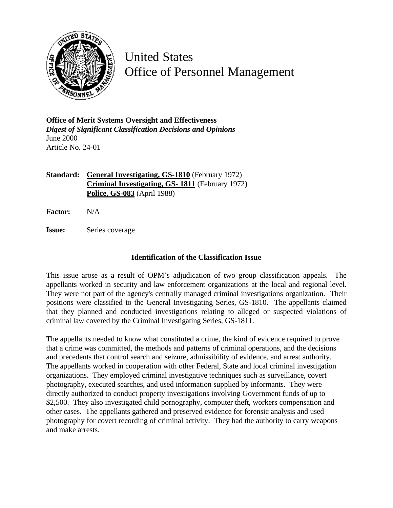

United States Office of Personnel Management

**Office of Merit Systems Oversight and Effectiveness** *Digest of Significant Classification Decisions and Opinions* June 2000 Article No. 24-01

**Standard: General Investigating, GS-1810** (February 1972) **Criminal Investigating, GS- 1811** (February 1972) **Police, GS-083** (April 1988)

- **Factor:** N/A
- **Issue:** Series coverage

## **Identification of the Classification Issue**

This issue arose as a result of OPM's adjudication of two group classification appeals. The appellants worked in security and law enforcement organizations at the local and regional level. They were not part of the agency's centrally managed criminal investigations organization. Their positions were classified to the General Investigating Series, GS-1810. The appellants claimed that they planned and conducted investigations relating to alleged or suspected violations of criminal law covered by the Criminal Investigating Series, GS-1811.

The appellants needed to know what constituted a crime, the kind of evidence required to prove that a crime was committed, the methods and patterns of criminal operations, and the decisions and precedents that control search and seizure, admissibility of evidence, and arrest authority. The appellants worked in cooperation with other Federal, State and local criminal investigation organizations. They employed criminal investigative techniques such as surveillance, covert photography, executed searches, and used information supplied by informants. They were directly authorized to conduct property investigations involving Government funds of up to \$2,500. They also investigated child pornography, computer theft, workers compensation and other cases. The appellants gathered and preserved evidence for forensic analysis and used photography for covert recording of criminal activity. They had the authority to carry weapons and make arrests.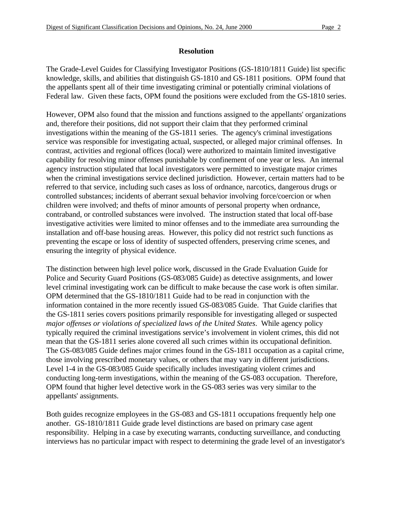## **Resolution**

The Grade-Level Guides for Classifying Investigator Positions (GS-1810/1811 Guide) list specific knowledge, skills, and abilities that distinguish GS-1810 and GS-1811 positions. OPM found that the appellants spent all of their time investigating criminal or potentially criminal violations of Federal law. Given these facts, OPM found the positions were excluded from the GS-1810 series.

However, OPM also found that the mission and functions assigned to the appellants' organizations and, therefore their positions, did not support their claim that they performed criminal investigations within the meaning of the GS-1811 series. The agency's criminal investigations service was responsible for investigating actual, suspected, or alleged major criminal offenses. In contrast, activities and regional offices (local) were authorized to maintain limited investigative capability for resolving minor offenses punishable by confinement of one year or less. An internal agency instruction stipulated that local investigators were permitted to investigate major crimes when the criminal investigations service declined jurisdiction. However, certain matters had to be referred to that service, including such cases as loss of ordnance, narcotics, dangerous drugs or controlled substances; incidents of aberrant sexual behavior involving force/coercion or when children were involved; and thefts of minor amounts of personal property when ordnance, contraband, or controlled substances were involved. The instruction stated that local off-base investigative activities were limited to minor offenses and to the immediate area surrounding the installation and off-base housing areas. However, this policy did not restrict such functions as preventing the escape or loss of identity of suspected offenders, preserving crime scenes, and ensuring the integrity of physical evidence.

The distinction between high level police work, discussed in the Grade Evaluation Guide for Police and Security Guard Positions (GS-083/085 Guide) as detective assignments, and lower level criminal investigating work can be difficult to make because the case work is often similar. OPM determined that the GS-1810/1811 Guide had to be read in conjunction with the information contained in the more recently issued GS-083/085 Guide. That Guide clarifies that the GS-1811 series covers positions primarily responsible for investigating alleged or suspected *major offenses or violations of specialized laws of the United States*. While agency policy typically required the criminal investigations service's involvement in violent crimes, this did not mean that the GS-1811 series alone covered all such crimes within its occupational definition. The GS-083/085 Guide defines major crimes found in the GS-1811 occupation as a capital crime, those involving prescribed monetary values, or others that may vary in different jurisdictions. Level 1-4 in the GS-083/085 Guide specifically includes investigating violent crimes and conducting long-term investigations, within the meaning of the GS-083 occupation. Therefore, OPM found that higher level detective work in the GS-083 series was very similar to the appellants' assignments.

Both guides recognize employees in the GS-083 and GS-1811 occupations frequently help one another. GS-1810/1811 Guide grade level distinctions are based on primary case agent responsibility. Helping in a case by executing warrants, conducting surveillance, and conducting interviews has no particular impact with respect to determining the grade level of an investigator's